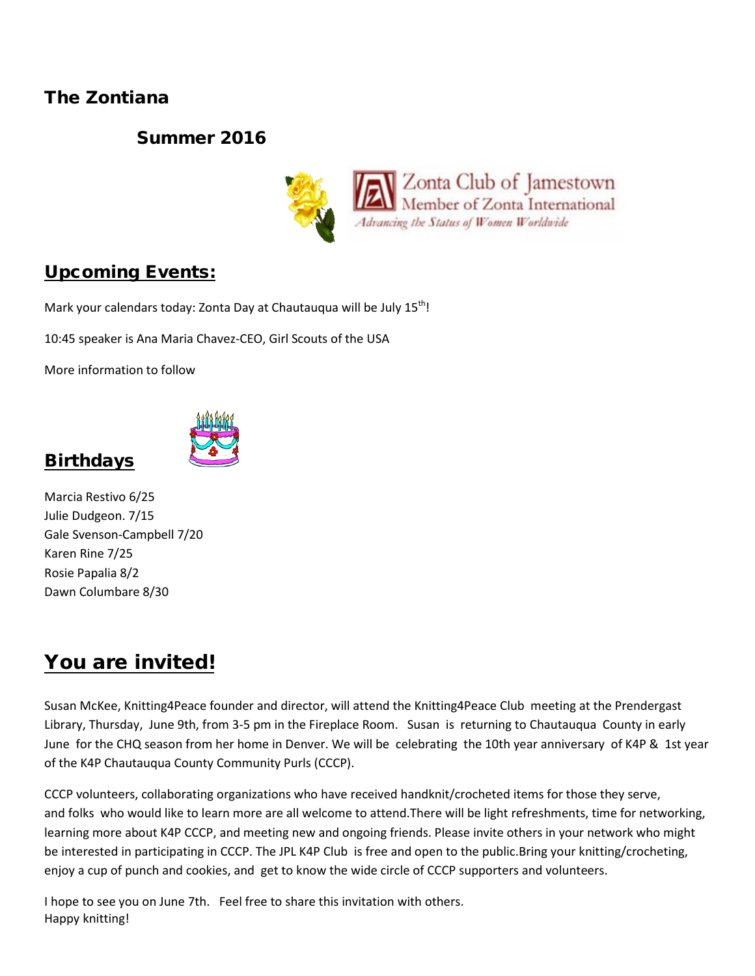### The Zontiana

### Summer 2016



### Upcoming Events:

Mark your calendars today: Zonta Day at Chautauqua will be July 15<sup>th</sup>!

10:45 speaker is Ana Maria Chavez-CEO, Girl Scouts of the USA

More information to follow



# **Birthdays**

Marcia Restivo 6/25 Julie Dudgeon. 7/15 Gale Svenson-Campbell 7/20 Karen Rine 7/25 Rosie Papalia 8/2 Dawn Columbare 8/30

# You are invited!

Susan McKee, Knitting4Peace founder and director, will attend the Knitting4Peace Club meeting at the Prendergast Library, Thursday, June 9th, from 3-5 pm in the Fireplace Room. Susan is returning to Chautauqua County in early June for the CHQ season from her home in Denver. We will be celebrating the 10th year anniversary of K4P & 1st year of the K4P Chautauqua County Community Purls (CCCP).

CCCP volunteers, collaborating organizations who have received handknit/crocheted items for those they serve, and folks who would like to learn more are all welcome to attend.There will be light refreshments, time for networking, learning more about K4P CCCP, and meeting new and ongoing friends. Please invite others in your network who might be interested in participating in CCCP. The JPL K4P Club is free and open to the public.Bring your knitting/crocheting, enjoy a cup of punch and cookies, and get to know the wide circle of CCCP supporters and volunteers.

I hope to see you on June 7th. Feel free to share this invitation with others. Happy knitting!